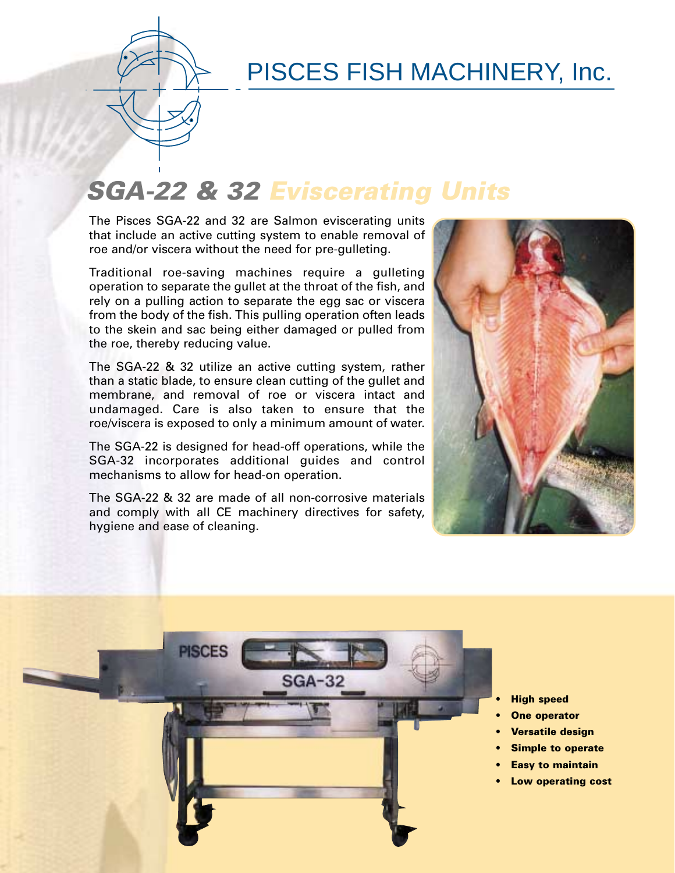

## PISCES FISH MACHINERY, Inc.

# **SGA-22 & 32 Eviscerating Units**

The Pisces SGA-22 and 32 are Salmon eviscerating units that include an active cutting system to enable removal of roe and/or viscera without the need for pre-gulleting.

Traditional roe-saving machines require a gulleting operation to separate the gullet at the throat of the fish, and rely on a pulling action to separate the egg sac or viscera from the body of the fish. This pulling operation often leads to the skein and sac being either damaged or pulled from the roe, thereby reducing value.

The SGA-22 & 32 utilize an active cutting system, rather than a static blade, to ensure clean cutting of the gullet and membrane, and removal of roe or viscera intact and undamaged. Care is also taken to ensure that the roe/viscera is exposed to only a minimum amount of water.

The SGA-22 is designed for head-off operations, while the SGA-32 incorporates additional guides and control mechanisms to allow for head-on operation.

The SGA-22 & 32 are made of all non-corrosive materials and comply with all CE machinery directives for safety, hygiene and ease of cleaning.





- **High speed**
- **One operator**
- **Versatile design**
- **Simple to operate**
- **Easy to maintain**
- **Low operating cost**